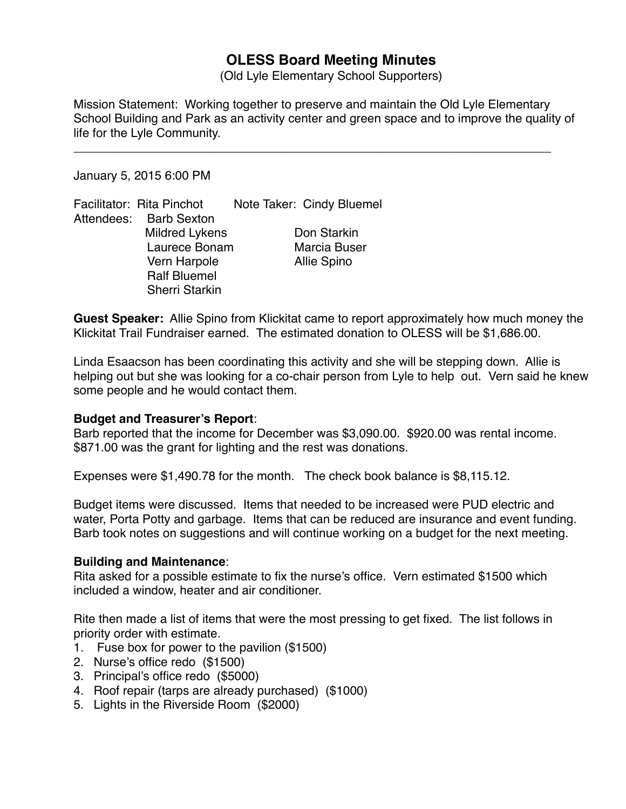# **OLESS Board Meeting Minutes**

(Old Lyle Elementary School Supporters)

Mission Statement: Working together to preserve and maintain the Old Lyle Elementary School Building and Park as an activity center and green space and to improve the quality of life for the Lyle Community.

\_\_\_\_\_\_\_\_\_\_\_\_\_\_\_\_\_\_\_\_\_\_\_\_\_\_\_\_\_\_\_\_\_\_\_\_\_\_\_\_\_\_\_\_\_\_\_\_\_\_\_\_\_\_\_\_\_\_\_\_\_\_\_\_\_\_\_\_\_\_

January 5, 2015 6:00 PM

Facilitator: Rita Pinchot Note Taker: Cindy Bluemel Attendees: Barb Sexton Mildred Lykens **Don Starkin** Laurece Bonam Marcia Buser Vern Harpole **Allie Spino** Ralf Bluemel Sherri Starkin

**Guest Speaker:** Allie Spino from Klickitat came to report approximately how much money the Klickitat Trail Fundraiser earned. The estimated donation to OLESS will be \$1,686.00.

Linda Esaacson has been coordinating this activity and she will be stepping down. Allie is helping out but she was looking for a co-chair person from Lyle to help out. Vern said he knew some people and he would contact them.

# **Budget and Treasurer's Report**:

Barb reported that the income for December was \$3,090.00. \$920.00 was rental income. \$871.00 was the grant for lighting and the rest was donations.

Expenses were \$1,490.78 for the month. The check book balance is \$8,115.12.

Budget items were discussed. Items that needed to be increased were PUD electric and water, Porta Potty and garbage. Items that can be reduced are insurance and event funding. Barb took notes on suggestions and will continue working on a budget for the next meeting.

#### **Building and Maintenance**:

Rita asked for a possible estimate to fix the nurse's office. Vern estimated \$1500 which included a window, heater and air conditioner.

Rite then made a list of items that were the most pressing to get fixed. The list follows in priority order with estimate.

- 1. Fuse box for power to the pavilion (\$1500)
- 2. Nurse's office redo (\$1500)
- 3. Principal's office redo (\$5000)
- 4. Roof repair (tarps are already purchased) (\$1000)
- 5. Lights in the Riverside Room (\$2000)